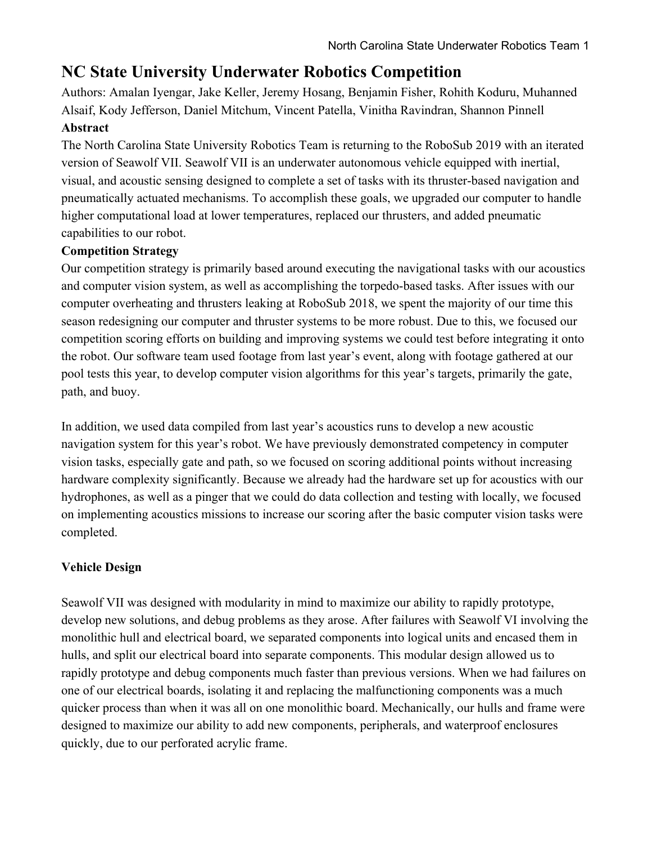# **NC State University Underwater Robotics Competition**

Authors: Amalan Iyengar, Jake Keller, Jeremy Hosang, Benjamin Fisher, Rohith Koduru, Muhanned Alsaif, Kody Jefferson, Daniel Mitchum, Vincent Patella, Vinitha Ravindran, Shannon Pinnell **Abstract**

The North Carolina State University Robotics Team is returning to the RoboSub 2019 with an iterated version of Seawolf VII. Seawolf VII is an underwater autonomous vehicle equipped with inertial, visual, and acoustic sensing designed to complete a set of tasks with its thruster-based navigation and pneumatically actuated mechanisms. To accomplish these goals, we upgraded our computer to handle higher computational load at lower temperatures, replaced our thrusters, and added pneumatic capabilities to our robot.

## **Competition Strategy**

Our competition strategy is primarily based around executing the navigational tasks with our acoustics and computer vision system, as well as accomplishing the torpedo-based tasks. After issues with our computer overheating and thrusters leaking at RoboSub 2018, we spent the majority of our time this season redesigning our computer and thruster systems to be more robust. Due to this, we focused our competition scoring efforts on building and improving systems we could test before integrating it onto the robot. Our software team used footage from last year's event, along with footage gathered at our pool tests this year, to develop computer vision algorithms for this year's targets, primarily the gate, path, and buoy.

In addition, we used data compiled from last year's acoustics runs to develop a new acoustic navigation system for this year's robot. We have previously demonstrated competency in computer vision tasks, especially gate and path, so we focused on scoring additional points without increasing hardware complexity significantly. Because we already had the hardware set up for acoustics with our hydrophones, as well as a pinger that we could do data collection and testing with locally, we focused on implementing acoustics missions to increase our scoring after the basic computer vision tasks were completed.

## **Vehicle Design**

Seawolf VII was designed with modularity in mind to maximize our ability to rapidly prototype, develop new solutions, and debug problems as they arose. After failures with Seawolf VI involving the monolithic hull and electrical board, we separated components into logical units and encased them in hulls, and split our electrical board into separate components. This modular design allowed us to rapidly prototype and debug components much faster than previous versions. When we had failures on one of our electrical boards, isolating it and replacing the malfunctioning components was a much quicker process than when it was all on one monolithic board. Mechanically, our hulls and frame were designed to maximize our ability to add new components, peripherals, and waterproof enclosures quickly, due to our perforated acrylic frame.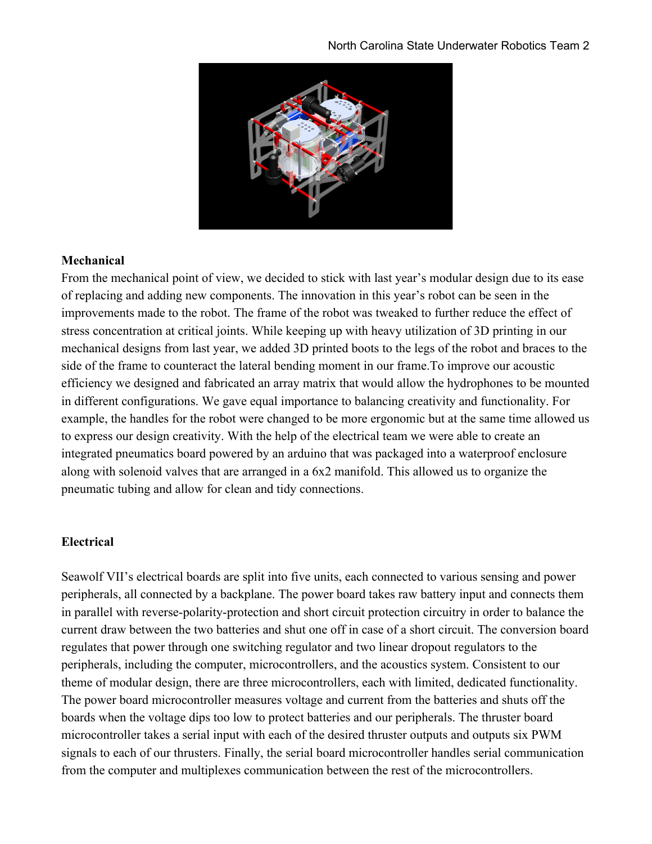

### **Mechanical**

From the mechanical point of view, we decided to stick with last year's modular design due to its ease of replacing and adding new components. The innovation in this year's robot can be seen in the improvements made to the robot. The frame of the robot was tweaked to further reduce the effect of stress concentration at critical joints. While keeping up with heavy utilization of 3D printing in our mechanical designs from last year, we added 3D printed boots to the legs of the robot and braces to the side of the frame to counteract the lateral bending moment in our frame.To improve our acoustic efficiency we designed and fabricated an array matrix that would allow the hydrophones to be mounted in different configurations. We gave equal importance to balancing creativity and functionality. For example, the handles for the robot were changed to be more ergonomic but at the same time allowed us to express our design creativity. With the help of the electrical team we were able to create an integrated pneumatics board powered by an arduino that was packaged into a waterproof enclosure along with solenoid valves that are arranged in a 6x2 manifold. This allowed us to organize the pneumatic tubing and allow for clean and tidy connections.

#### **Electrical**

Seawolf VII's electrical boards are split into five units, each connected to various sensing and power peripherals, all connected by a backplane. The power board takes raw battery input and connects them in parallel with reverse-polarity-protection and short circuit protection circuitry in order to balance the current draw between the two batteries and shut one off in case of a short circuit. The conversion board regulates that power through one switching regulator and two linear dropout regulators to the peripherals, including the computer, microcontrollers, and the acoustics system. Consistent to our theme of modular design, there are three microcontrollers, each with limited, dedicated functionality. The power board microcontroller measures voltage and current from the batteries and shuts off the boards when the voltage dips too low to protect batteries and our peripherals. The thruster board microcontroller takes a serial input with each of the desired thruster outputs and outputs six PWM signals to each of our thrusters. Finally, the serial board microcontroller handles serial communication from the computer and multiplexes communication between the rest of the microcontrollers.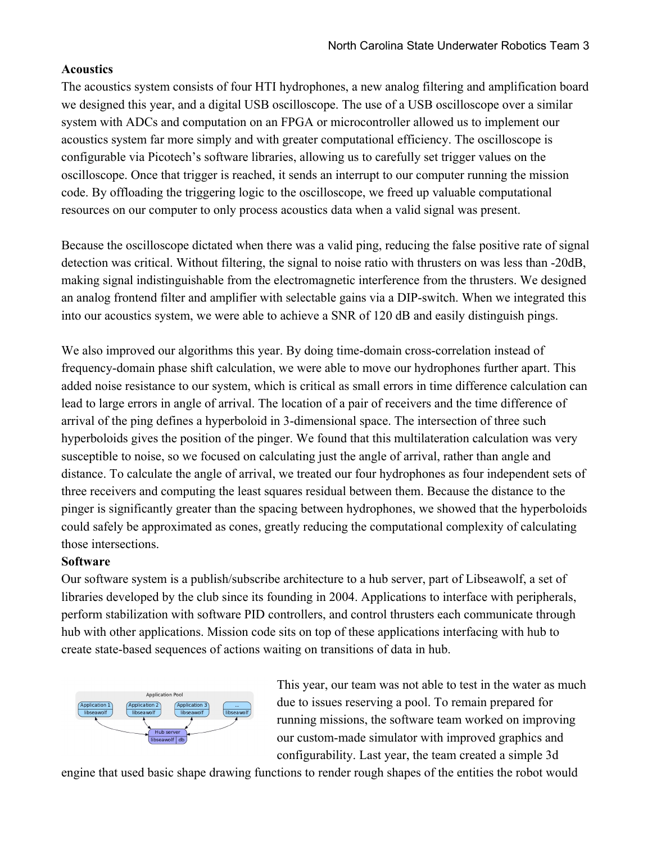#### **Acoustics**

The acoustics system consists of four HTI hydrophones, a new analog filtering and amplification board we designed this year, and a digital USB oscilloscope. The use of a USB oscilloscope over a similar system with ADCs and computation on an FPGA or microcontroller allowed us to implement our acoustics system far more simply and with greater computational efficiency. The oscilloscope is configurable via Picotech's software libraries, allowing us to carefully set trigger values on the oscilloscope. Once that trigger is reached, it sends an interrupt to our computer running the mission code. By offloading the triggering logic to the oscilloscope, we freed up valuable computational resources on our computer to only process acoustics data when a valid signal was present.

Because the oscilloscope dictated when there was a valid ping, reducing the false positive rate of signal detection was critical. Without filtering, the signal to noise ratio with thrusters on was less than -20dB, making signal indistinguishable from the electromagnetic interference from the thrusters. We designed an analog frontend filter and amplifier with selectable gains via a DIP-switch. When we integrated this into our acoustics system, we were able to achieve a SNR of 120 dB and easily distinguish pings.

We also improved our algorithms this year. By doing time-domain cross-correlation instead of frequency-domain phase shift calculation, we were able to move our hydrophones further apart. This added noise resistance to our system, which is critical as small errors in time difference calculation can lead to large errors in angle of arrival. The location of a pair of receivers and the time difference of arrival of the ping defines a hyperboloid in 3-dimensional space. The intersection of three such hyperboloids gives the position of the pinger. We found that this multilateration calculation was very susceptible to noise, so we focused on calculating just the angle of arrival, rather than angle and distance. To calculate the angle of arrival, we treated our four hydrophones as four independent sets of three receivers and computing the least squares residual between them. Because the distance to the pinger is significantly greater than the spacing between hydrophones, we showed that the hyperboloids could safely be approximated as cones, greatly reducing the computational complexity of calculating those intersections.

#### **Software**

Our software system is a publish/subscribe architecture to a hub server, part of Libseawolf, a set of libraries developed by the club since its founding in 2004. Applications to interface with peripherals, perform stabilization with software PID controllers, and control thrusters each communicate through hub with other applications. Mission code sits on top of these applications interfacing with hub to create state-based sequences of actions waiting on transitions of data in hub.



This year, our team was not able to test in the water as much due to issues reserving a pool. To remain prepared for running missions, the software team worked on improving our custom-made simulator with improved graphics and configurability. Last year, the team created a simple 3d

engine that used basic shape drawing functions to render rough shapes of the entities the robot would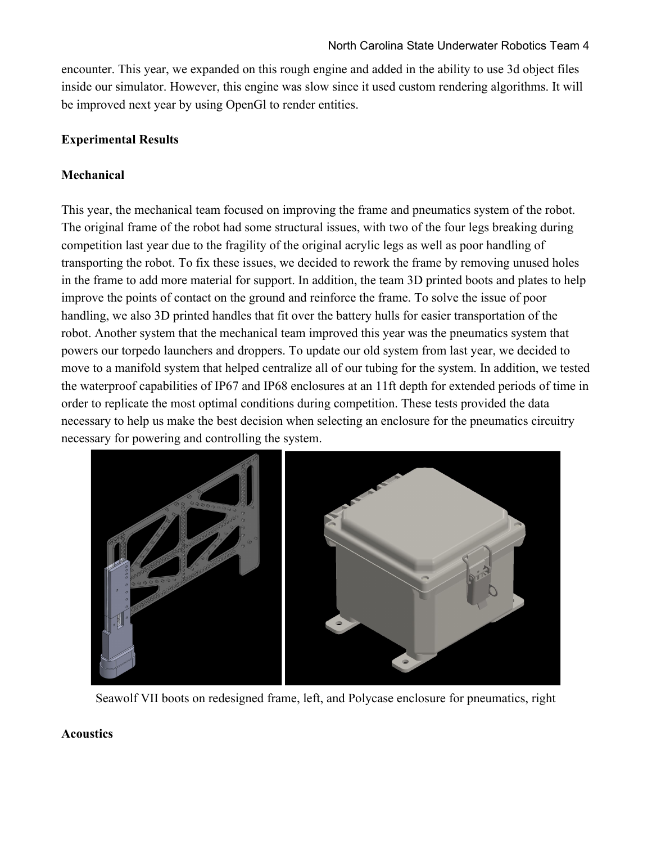encounter. This year, we expanded on this rough engine and added in the ability to use 3d object files inside our simulator. However, this engine was slow since it used custom rendering algorithms. It will be improved next year by using OpenGl to render entities.

#### **Experimental Results**

### **Mechanical**

This year, the mechanical team focused on improving the frame and pneumatics system of the robot. The original frame of the robot had some structural issues, with two of the four legs breaking during competition last year due to the fragility of the original acrylic legs as well as poor handling of transporting the robot. To fix these issues, we decided to rework the frame by removing unused holes in the frame to add more material for support. In addition, the team 3D printed boots and plates to help improve the points of contact on the ground and reinforce the frame. To solve the issue of poor handling, we also 3D printed handles that fit over the battery hulls for easier transportation of the robot. Another system that the mechanical team improved this year was the pneumatics system that powers our torpedo launchers and droppers. To update our old system from last year, we decided to move to a manifold system that helped centralize all of our tubing for the system. In addition, we tested the waterproof capabilities of IP67 and IP68 enclosures at an 11ft depth for extended periods of time in order to replicate the most optimal conditions during competition. These tests provided the data necessary to help us make the best decision when selecting an enclosure for the pneumatics circuitry necessary for powering and controlling the system.



Seawolf VII boots on redesigned frame, left, and Polycase enclosure for pneumatics, right

#### **Acoustics**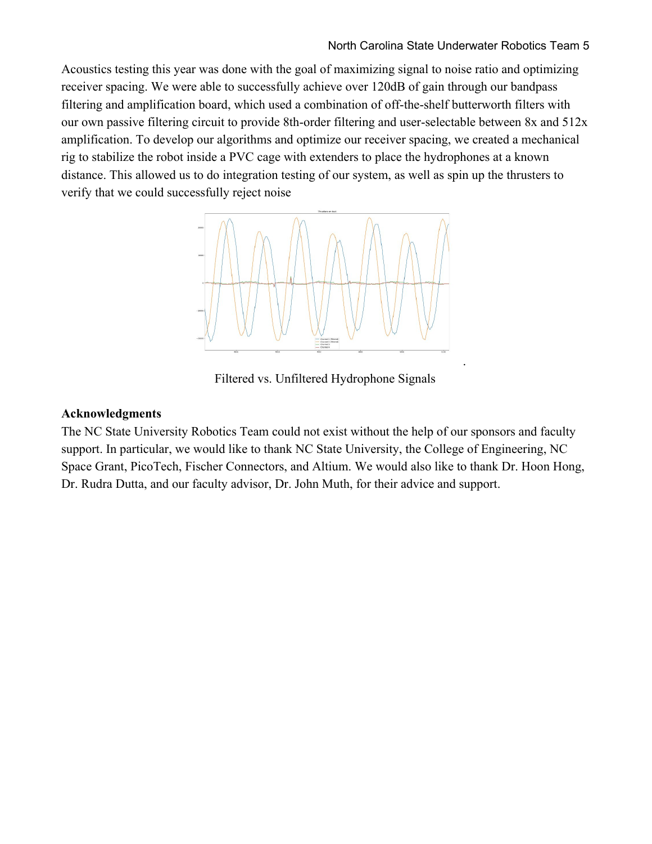Acoustics testing this year was done with the goal of maximizing signal to noise ratio and optimizing receiver spacing. We were able to successfully achieve over 120dB of gain through our bandpass filtering and amplification board, which used a combination of off-the-shelf butterworth filters with our own passive filtering circuit to provide 8th-order filtering and user-selectable between 8x and 512x amplification. To develop our algorithms and optimize our receiver spacing, we created a mechanical rig to stabilize the robot inside a PVC cage with extenders to place the hydrophones at a known distance. This allowed us to do integration testing of our system, as well as spin up the thrusters to verify that we could successfully reject noise



Filtered vs. Unfiltered Hydrophone Signals

#### **Acknowledgments**

The NC State University Robotics Team could not exist without the help of our sponsors and faculty support. In particular, we would like to thank NC State University, the College of Engineering, NC Space Grant, PicoTech, Fischer Connectors, and Altium. We would also like to thank Dr. Hoon Hong, Dr. Rudra Dutta, and our faculty advisor, Dr. John Muth, for their advice and support.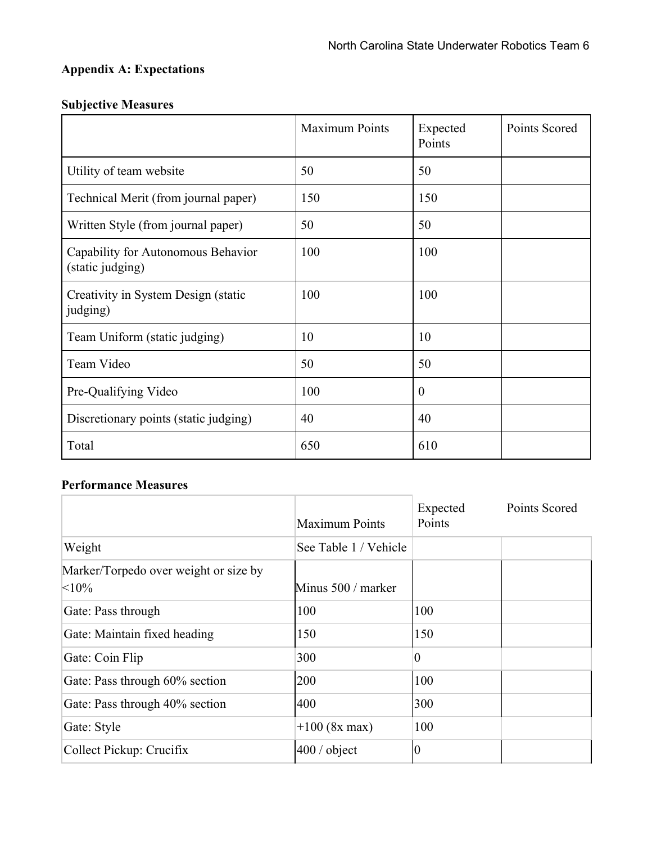# **Appendix A: Expectations**

## **Subjective Measures**

|                                                        | Maximum Points | Expected<br>Points | Points Scored |
|--------------------------------------------------------|----------------|--------------------|---------------|
| Utility of team website                                | 50             | 50                 |               |
| Technical Merit (from journal paper)                   | 150            | 150                |               |
| Written Style (from journal paper)                     | 50             | 50                 |               |
| Capability for Autonomous Behavior<br>(static judging) | 100            | 100                |               |
| Creativity in System Design (static<br>judging)        | 100            | 100                |               |
| Team Uniform (static judging)                          | 10             | 10                 |               |
| Team Video                                             | 50             | 50                 |               |
| Pre-Qualifying Video                                   | 100            | $\overline{0}$     |               |
| Discretionary points (static judging)                  | 40             | 40                 |               |
| Total                                                  | 650            | 610                |               |

## **Performance Measures**

|                                               | <b>Maximum Points</b> | Expected<br>Points | Points Scored |
|-----------------------------------------------|-----------------------|--------------------|---------------|
| Weight                                        | See Table 1 / Vehicle |                    |               |
| Marker/Torpedo over weight or size by<br><10% | Minus 500 / marker    |                    |               |
| Gate: Pass through                            | 100                   | 100                |               |
| Gate: Maintain fixed heading                  | 150                   | 150                |               |
| Gate: Coin Flip                               | 300                   | $\overline{0}$     |               |
| Gate: Pass through 60% section                | 200                   | 100                |               |
| Gate: Pass through 40% section                | 400                   | 300                |               |
| Gate: Style                                   | $+100$ (8x max)       | 100                |               |
| Collect Pickup: Crucifix                      | $400/$ object         | $\boldsymbol{0}$   |               |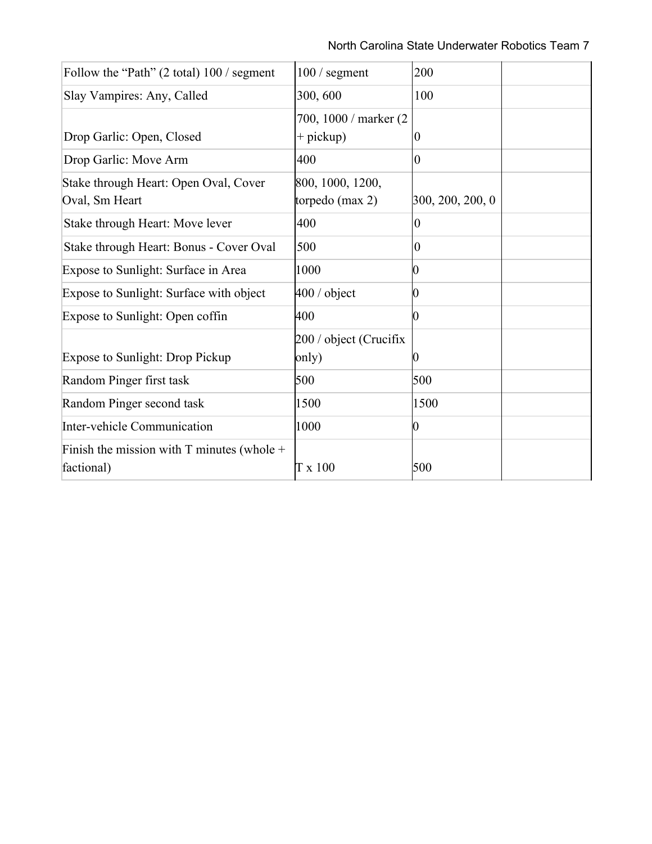| Follow the "Path" (2 total) 100 / segment                  | $100/$ segment         | 200              |  |
|------------------------------------------------------------|------------------------|------------------|--|
| Slay Vampires: Any, Called                                 | 300, 600               | 100              |  |
|                                                            | 700, 1000 / marker (2) |                  |  |
| Drop Garlic: Open, Closed                                  | $+$ pickup)            | $\boldsymbol{0}$ |  |
| Drop Garlic: Move Arm                                      | 400                    | $\theta$         |  |
| Stake through Heart: Open Oval, Cover                      | 800, 1000, 1200,       |                  |  |
| Oval, Sm Heart                                             | torpedo $(max 2)$      | 300, 200, 200, 0 |  |
| Stake through Heart: Move lever                            | 400                    | $\overline{0}$   |  |
| Stake through Heart: Bonus - Cover Oval                    | 500                    | $\boldsymbol{0}$ |  |
| Expose to Sunlight: Surface in Area                        | 1000                   |                  |  |
| Expose to Sunlight: Surface with object                    | $400 /$ object         | 0                |  |
| Expose to Sunlight: Open coffin                            | 400                    | 0                |  |
|                                                            | 200 / object (Crucifix |                  |  |
| <b>Expose to Sunlight: Drop Pickup</b>                     | only)                  |                  |  |
| Random Pinger first task                                   | 500                    | 500              |  |
| Random Pinger second task                                  | 1500                   | 1500             |  |
| Inter-vehicle Communication                                | 1000                   | 0                |  |
| Finish the mission with T minutes (whole $+$<br>factional) | $T \times 100$         | 500              |  |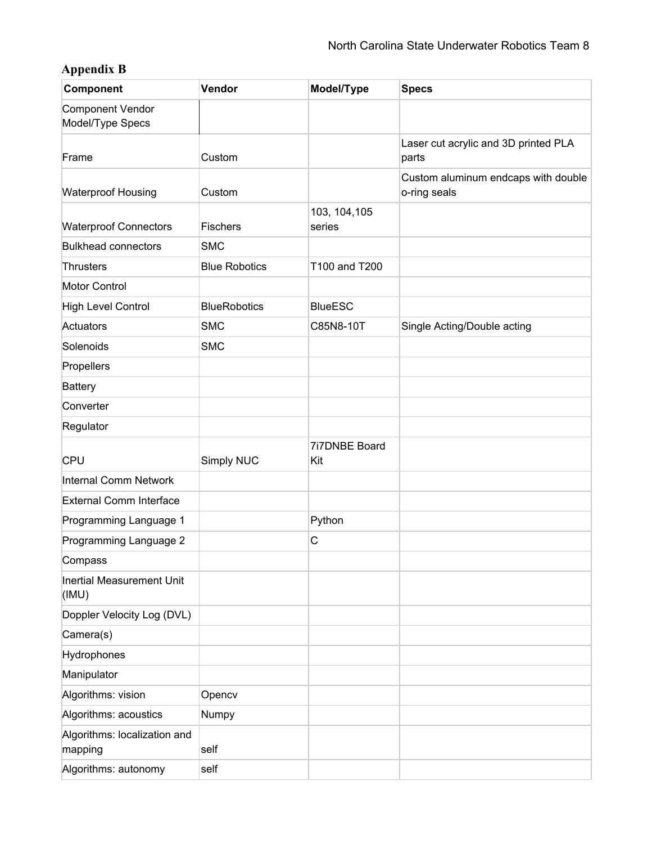# **Appendix B**

| Component                                   | Vendor               | Model/Type              | <b>Specs</b>                                        |
|---------------------------------------------|----------------------|-------------------------|-----------------------------------------------------|
| <b>Component Vendor</b><br>Model/Type Specs |                      |                         |                                                     |
| Frame                                       | Custom               |                         | Laser cut acrylic and 3D printed PLA<br>parts       |
| <b>Waterproof Housing</b>                   | Custom               |                         | Custom aluminum endcaps with double<br>o-ring seals |
| <b>Waterproof Connectors</b>                | Fischers             | 103, 104, 105<br>series |                                                     |
| <b>Bulkhead connectors</b>                  | <b>SMC</b>           |                         |                                                     |
| Thrusters                                   | <b>Blue Robotics</b> | T100 and T200           |                                                     |
| <b>Motor Control</b>                        |                      |                         |                                                     |
| <b>High Level Control</b>                   | <b>BlueRobotics</b>  | <b>BlueESC</b>          |                                                     |
| Actuators                                   | <b>SMC</b>           | C85N8-10T               | Single Acting/Double acting                         |
| Solenoids                                   | <b>SMC</b>           |                         |                                                     |
| Propellers                                  |                      |                         |                                                     |
| <b>Battery</b>                              |                      |                         |                                                     |
| Converter                                   |                      |                         |                                                     |
| Regulator                                   |                      |                         |                                                     |
| CPU                                         | Simply NUC           | 7i7DNBE Board<br>Kit    |                                                     |
| Internal Comm Network                       |                      |                         |                                                     |
| <b>External Comm Interface</b>              |                      |                         |                                                     |
| Programming Language 1                      |                      | Python                  |                                                     |
| Programming Language 2                      |                      | $\mathsf C$             |                                                     |
| Compass                                     |                      |                         |                                                     |
| Inertial Measurement Unit<br>(IMU)          |                      |                         |                                                     |
| Doppler Velocity Log (DVL)                  |                      |                         |                                                     |
| Camera(s)                                   |                      |                         |                                                     |
| Hydrophones                                 |                      |                         |                                                     |
| Manipulator                                 |                      |                         |                                                     |
| Algorithms: vision                          | Opencv               |                         |                                                     |
| Algorithms: acoustics                       | Numpy                |                         |                                                     |
| Algorithms: localization and<br>mapping     | self                 |                         |                                                     |
| Algorithms: autonomy                        | self                 |                         |                                                     |